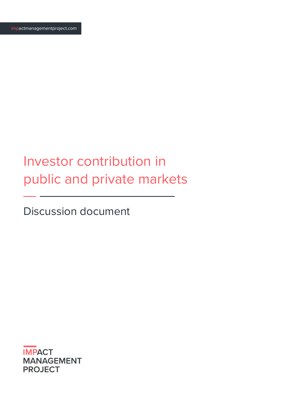# Investor contribution in public and private markets

Discussion document

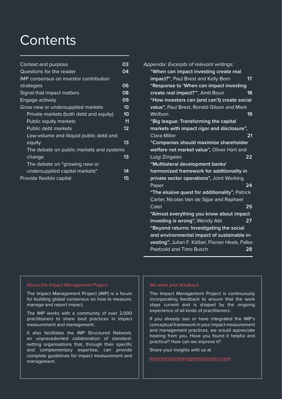## **Contents**

| Context and purpose                      | 03 |
|------------------------------------------|----|
| Questions for the reader                 | 04 |
| IMP consensus on investor contribution   |    |
| strategies                               | 06 |
| Signal that impact matters               | 08 |
| Engage actively                          | 09 |
| Grow new or undersupplied markets        | 10 |
| Private markets (both debt and equity)   | 10 |
| Public equity markets                    | 11 |
| Public debt markets                      | 12 |
| Low-volume and illiquid public debt and  |    |
| equity                                   | 13 |
| The debate on public markets and systems |    |
| change                                   | 13 |
| The debate on "growing new or            |    |
| undersupplied capital markets"           | 14 |
| Provide flexible capital                 | 15 |

| Appendix: Excerpts of relevan <u>t writings:</u> |    |
|--------------------------------------------------|----|
| "When can impact investing create real           |    |
| impact?", Paul Brest and Kelly Born              | 17 |
| "Response to 'When can impact investing          |    |
| create real impact?"", Amit Bouri                | 18 |
| "How investors can (and can't) create social     |    |
| value", Paul Brest, Ronald Gilson and Mark       |    |
| Wolfson                                          | 19 |
| "Big league: Transforming the capital            |    |
| markets with impact rigor and disclosure",       |    |
| <b>Clara Miller</b>                              | 21 |
| "Companies should maximize shareholder           |    |
| welfare not market value", Oliver Hart and       |    |
| Luigi Zingales                                   | 22 |
| "Multilateral development banks'                 |    |
| harmonized framework for additionality in        |    |
| private sector operations", Joint Working        |    |
| Paper                                            | 24 |
| "The elusive quest for additionality", Patrick   |    |
| Carter, Nicolas Van de Sijpe and Raphael         |    |
| Calel                                            | 25 |
| "Almost everything you know about impact         |    |
| investing is wrong", Wendy Abt                   | 27 |
| "Beyond returns: Investigating the social        |    |
| and environmental impact of sustainable in-      |    |
| vesting", Julian F. Kölbel, Florian Heeb, Falko  |    |
| <b>Paetzold and Timo Busch</b>                   | 28 |

#### About the Impact Management Project

The Impact Management Project (IMP) is a forum for building global consensus on how to measure, manage and report impact.

The IMP works with a community of over 2,000 practitioners to share best practices in impact measurement and management.

It also facilitates the IMP Structured Network, an unprecedented collaboration of standardsetting organisations that, through their specific and complementary expertise, can provide complete guidelines for impact measurement and management.

#### We want your feedback

The Impact Management Project is continuously incorporating feedback to ensure that the work stays current and is shaped by the ongoing experience of all kinds of practitioners.

If you already see or have integrated the IMP's conceptual framework in your impact measurement and management practices, we would appreciate hearing from you. Have you found it helpful and practical? How can we improve it?

Share your insights with us at

2 | Investor contribution in public and private markets | Discussion document [impactmanagementproject.com](http://impactmanagementproject.com)

[team@impactmanagementproject.com](mailto:team@impactmanagementproject.com)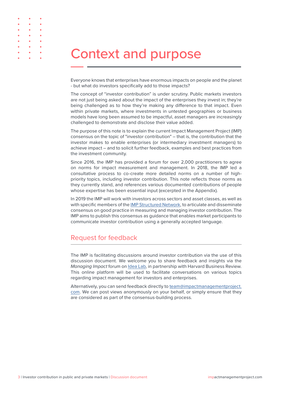## Context and purpose

Everyone knows that enterprises have enormous impacts on people and the planet - but what do investors specifically add to those impacts?

The concept of "investor contribution" is under scrutiny. Public markets investors are not just being asked about the impact of the enterprises they invest in; they're being challenged as to how they're making any difference to that impact. Even within private markets, where investments in untested geographies or business models have long been assumed to be impactful, asset managers are increasingly challenged to demonstrate and disclose their value added.

The purpose of this note is to explain the current Impact Management Project (IMP) consensus on the topic of "investor contribution" – that is, the contribution that the investor makes to enable enterprises (or intermediary investment managers) to achieve impact – and to solicit further feedback, examples and best practices from the investment community.

Since 2016, the IMP has provided a forum for over 2,000 practitioners to agree on norms for impact measurement and management. In 2018, the IMP led a consultative process to co-create more detailed norms on a number of highpriority topics, including investor contribution. This note reflects those norms as they currently stand, and references various documented contributions of people whose expertise has been essential input (excerpted in the Appendix).

In 2019 the IMP will work with investors across sectors and asset classes, as well as with specific members of the [IMP Structured Network,](http://IMP Structured Network) to articulate and disseminate consensus on good practice in measuring and managing investor contribution. The IMP aims to publish this consensus as guidance that enables market participants to communicate investor contribution using a generally accepted language.

### Request for feedback

The IMP is facilitating discussions around investor contribution via the use of this discussion document. We welcome you to share feedback and insights via the *Managing Impact* forum on [Idea Lab,](https://idealab.hbr.org/groups/managing-impact/) in partnership with Harvard Business Review. This online platform will be used to facilitate conversations on various topics regarding impact management for investors and enterprises.

Alternatively, you can send feedback directly to [team@impactmanagementproject.](mailto:team%40impactmanagementproject.com?subject=) [com](mailto:team%40impactmanagementproject.com?subject=). We can post views anonymously on your behalf, or simply ensure that they are considered as part of the consensus-building process.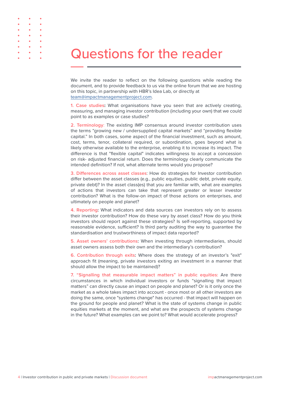## Questions for the reader

We invite the reader to reflect on the following questions while reading the document, and to provide feedback to us via the online forum that we are hosting on this topic, in partnership with HBR's Idea Lab, or directly at [team@impactmanagementproject.com](mailto:team@impactmanagementproject.com).

**1. Case studies:** What organisations have you seen that are actively creating, measuring, and managing investor contribution (including your own) that we could point to as examples or case studies?

**2. Terminology**: The existing IMP consensus around investor contribution uses the terms "growing new / undersupplied capital markets" and "providing flexible capital." In both cases, some aspect of the financial investment, such as amount, cost, terms, tenor, collateral required, or subordination, goes beyond what is likely otherwise available to the enterprise, enabling it to increase its impact. The difference is that "flexible capital" indicates willingness to accept a concession on risk- adjusted financial return. Does the terminology clearly communicate the intended definition? If not, what alternate terms would you propose?

**3. Differences across asset classes**: How do strategies for Investor contribution differ between the asset classes (e.g., public equities, public debt, private equity, private debt)? In the asset class(es) that you are familiar with, what are examples of actions that investors can take that represent greater or lesser investor contribution? What is the follow-on impact of those actions on enterprises, and ultimately on people and planet?

**4. Reporting:** What indicators and data sources can investors rely on to assess their investor contribution? How do these vary by asset class? How do you think investors should report against these strategies? Is self-reporting, supported by reasonable evidence, sufficient? Is third party auditing the way to guarantee the standardisation and trustworthiness of impact data reported?

**5. Asset owners' contributions:** When investing through intermediaries, should asset owners assess both their own and the intermediary's contribution?

**6. Contribution through exits:** Where does the strategy of an investor's "exit" approach fit (meaning, private investors exiting an investment in a manner that should allow the impact to be maintained)?

**7. "Signalling that measurable impact matters" in public equities:** Are there circumstances in which individual investors or funds "signalling that impact matters" can directly cause an impact on people and planet? Or is it only once the market as a whole takes impact into account - once most or all other investors are doing the same, once "systems change" has occurred - that impact will happen on the ground for people and planet? What is the state of systems change in public equities markets at the moment, and what are the prospects of systems change in the future? What examples can we point to? What would accelerate progress?

 $\ddot{\phantom{0}}$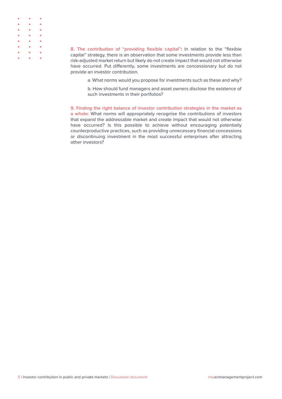| $\bullet \qquad \bullet \qquad \bullet$                                                     |  |
|---------------------------------------------------------------------------------------------|--|
| $\bullet \qquad \bullet \qquad \bullet$                                                     |  |
| $\begin{array}{cccccccccccccc} \bullet & \bullet & \bullet & \bullet & \bullet \end{array}$ |  |
| $\bullet \qquad \bullet \qquad \bullet$                                                     |  |
| $\bullet \qquad \bullet \qquad \bullet$                                                     |  |
| $\bullet \qquad \bullet \qquad \bullet$                                                     |  |
| $\bullet \qquad \bullet \qquad \bullet$                                                     |  |
| $\bullet$ $\bullet$ $\bullet$                                                               |  |

**8. The contribution of "providing flexible capital":** In relation to the "flexible capital" strategy, there is an observation that some investments provide less than risk-adjusted market return but likely do not create impact that would not otherwise have occurred. Put differently, some investments are concessionary but do not provide an investor contribution.

a. What norms would you propose for investments such as these and why?

b. How should fund managers and asset owners disclose the existence of such investments in their portfolios?

**9. Finding the right balance of investor contribution strategies in the market as a whole:** What norms will appropriately recognise the contributions of investors that expand the addressable market and create impact that would not otherwise have occurred? Is this possible to achieve without encouraging potentially counterproductive practices, such as providing unnecessary financial concessions or discontinuing investment in the most successful enterprises after attracting other investors?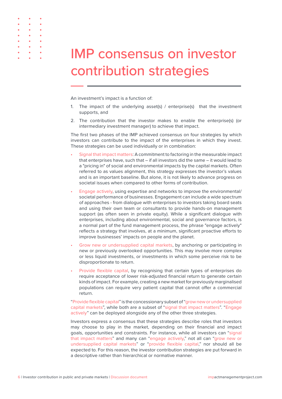| <b>IMP consensus on investor</b> |  |
|----------------------------------|--|
| contribution strategies          |  |

An investment's impact is a function of:

- 1. The impact of the underlying asset(s) / enterprise(s) that the investment supports, and
- 2. The contribution that the investor makes to enable the enterprise(s) (or intermediary investment manager) to achieve that impact.

The first two phases of the IMP achieved consensus on four strategies by which investors can contribute to the impact of the enterprises in which they invest. These strategies can be used individually or in combination:

- Signal that impact matters: A commitment to factoring in the measurable impact that enterprises have, such that – if all investors did the same – it would lead to a "pricing in" of social and environmental impacts by the capital markets. Often referred to as values alignment, this strategy expresses the investor's values and is an important baseline. But alone, it is not likely to advance progress on societal issues when compared to other forms of contribution.
- Engage actively, using expertise and networks to improve the environmental/ societal performance of businesses. Engagement can include a wide spectrum of approaches - from dialogue with enterprises to investors taking board seats and using their own team or consultants to provide hands-on management support (as often seen in private equity). While a significant dialogue with enterprises, including about environmental, social and governance factors, is a normal part of the fund management process, the phrase "engage actively" reflects a strategy that involves, at a minimum, significant proactive efforts to improve businesses' impacts on people and the planet.
- Grow new or undersupplied capital markets, by anchoring or participating in new or previously overlooked opportunities. This may involve more complex or less liquid investments, or investments in which some perceive risk to be disproportionate to return.
- Provide flexible capital, by recognising that certain types of enterprises do require acceptance of lower risk-adjusted financial return to generate certain kinds of impact. For example, creating a new market for previously marginalised populations can require very patient capital that cannot offer a commercial return.

"Provide flexible capital" is the concessionary subset of "grow new or undersupplied capital markets", while both are a subset of "signal that impact matters". "Engage actively" can be deployed alongside any of the other three strategies.

Investors express a consensus that these strategies describe roles that investors may choose to play in the market, depending on their financial and impact goals, opportunities and constraints. For instance, while all investors can "signal that impact matters" and many can "engage actively," not all can "grow new or undersupplied capital markets" or "provide flexible capital," nor should all be expected to. For this reason, the investor contribution strategies are put forward in a descriptive rather than hierarchical or normative manner.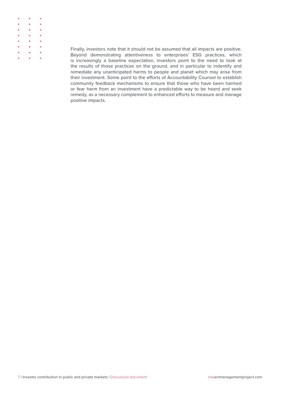

Finally, investors note that it should not be assumed that all impacts are positive. Beyond demonstrating attentiveness to enterprises' ESG practices, which is increasingly a baseline expectation, investors point to the need to look at the results of those practices on the ground, and in particular to indentify and remediate any unanticipated harms to people and planet which may arise from their investment. Some point to the efforts of Accountability Counsel to establish community feedback mechanisms to ensure that those who have been harmed or fear harm from an investment have a predictable way to be heard and seek remedy, as a necessary complement to enhanced efforts to measure and manage positive impacts.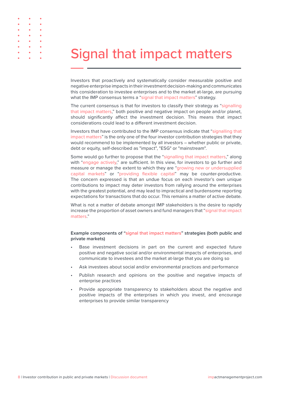## Signal that impact matters

Investors that proactively and systematically consider measurable positive and negative enterprise impacts in their investment decision-making and communicates this consideration to investee enterprises and to the market at-large, are pursuing what the IMP consensus terms a "signal that impact matters" strategy.

The current consensus is that for investors to classify their strategy as "signalling that impact matters," both positive and negative impact on people and/or planet, should significantly affect the investment decision. This means that impact considerations could lead to a different investment decision.

Investors that have contributed to the IMP consensus indicate that "signalling that impact matters" is the only one of the four investor contribution strategies that they would recommend to be implemented by all investors – whether public or private, debt or equity, self-described as "impact", "ESG" or "mainstream".

Some would go further to propose that the "signalling that impact matters," along with "engage actively," are sufficient. In this view, for investors to go further and measure or manage the extent to which they are "growing new or undersupplied capital markets" or "providing flexible capital" may be counter-productive. The concern expressed is that an undue focus on each investor's own unique contributions to impact may deter investors from rallying around the enterprises with the greatest potential, and may lead to impractical and burdensome reporting expectations for transactions that do occur. This remains a matter of active debate.

What is not a matter of debate amongst IMP stakeholders is the desire to rapidly increase the proportion of asset owners and fund managers that "signal that impact matters."

### **Example components of "signal that impact matters" strategies (both public and private markets)**

- Base investment decisions in part on the current and expected future positive and negative social and/or environmental impacts of enterprises, and communicate to investees and the market at-large that you are doing so
- Ask investees about social and/or environmental practices and performance
- Publish research and opinions on the positive and negative impacts of enterprise practices
- Provide appropriate transparency to stakeholders about the negative and positive impacts of the enterprises in which you invest, and encourage enterprises to provide similar transparency

 $\ddot{\phantom{0}}$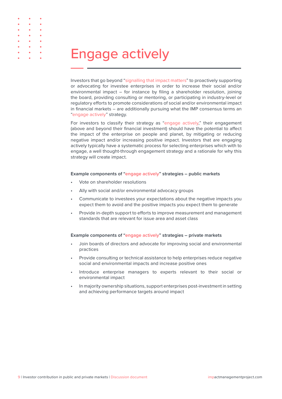## Engage actively

Investors that go beyond "signalling that impact matters" to proactively supporting or advocating for investee enterprises in order to increase their social and/or environmental impact – for instance by filing a shareholder resolution, joining the board, providing consulting or mentoring, or participating in industry-level or regulatory efforts to promote considerations of social and/or environmental impact in financial markets – are additionally pursuing what the IMP consensus terms an "engage actively" strategy.

For investors to classify their strategy as "engage actively," their engagement (above and beyond their financial investment) should have the potential to affect the impact of the enterprise on people and planet, by mitigating or reducing negative impact and/or increasing positive impact. Investors that are engaging actively typically have a systematic process for selecting enterprises which with to engage, a well thought-through engagement strategy and a rationale for why this strategy will create impact.

#### **Example components of "engage actively" strategies – public markets**

- Vote on shareholder resolutions
- Ally with social and/or environmental advocacy groups
- Communicate to investees your expectations about the negative impacts you expect them to avoid and the positive impacts you expect them to generate
- Provide in-depth support to efforts to improve measurement and management standards that are relevant for issue area and asset class

#### **Example components of "engage actively" strategies – private markets**

- Join boards of directors and advocate for improving social and environmental practices
- Provide consulting or technical assistance to help enterprises reduce negative social and environmental impacts and increase positive ones
- Introduce enterprise managers to experts relevant to their social or environmental impact
- In majority ownership situations, support enterprises post-investment in setting and achieving performance targets around impact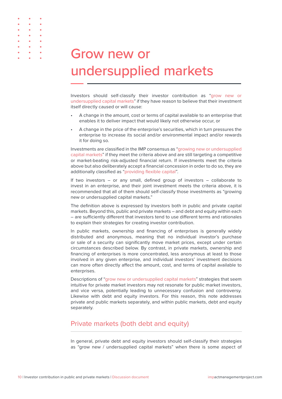| <b>Grow new or</b>    |  |
|-----------------------|--|
| undersupplied markets |  |

Investors should self-classify their investor contribution as "grow new or undersupplied capital markets" if they have reason to believe that their investment itself directly caused or will cause:

- A change in the amount, cost or terms of capital available to an enterprise that enables it to deliver impact that would likely not otherwise occur, or
- A change in the price of the enterprise's securities, which in turn pressures the enterprise to increase its social and/or environmental impact and/or rewards it for doing so.

Investments are classified in the IMP consensus as "growing new or undersupplied capital markets" if they meet the criteria above and are still targeting a competitive or market-beating risk-adjusted financial return. If investments meet the criteria above but also deliberately accept a financial concession in order to do so, they are additionally classified as "providing flexible capital".

If two investors – or any small, defined group of investors – collaborate to invest in an enterprise, and their joint investment meets the criteria above, it is recommended that all of them should self-classify those investments as "growing new or undersupplied capital markets."

The definition above is expressed by investors both in public and private capital markets. Beyond this, public and private markets – and debt and equity within each – are sufficiently different that investors tend to use different terms and rationales to explain their strategies for creating investor contribution.

In public markets, ownership and financing of enterprises is generally widely distributed and anonymous, meaning that no individual investor's purchase or sale of a security can significantly move market prices, except under certain circumstances described below. By contrast, in private markets, ownership and financing of enterprises is more concentrated, less anonymous at least to those involved in any given enterprise, and individual investors' investment decisions can more often directly affect the amount, cost, and terms of capital available to enterprises.

Descriptions of "grow new or undersupplied capital markets" strategies that seem intuitive for private market investors may not resonate for public market investors, and vice versa, potentially leading to unnecessary confusion and controversy. Likewise with debt and equity investors. For this reason, this note addresses private and public markets separately, and within public markets, debt and equity separately.

### Private markets (both debt and equity)

In general, private debt and equity investors should self-classify their strategies as "grow new / undersupplied capital markets" when there is some aspect of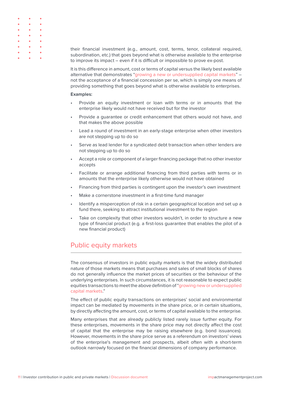| $\bullet \qquad \bullet \qquad \bullet$                               |  |
|-----------------------------------------------------------------------|--|
| $\bullet \qquad \bullet \qquad \bullet$                               |  |
| $\bullet \qquad \bullet \qquad \bullet$                               |  |
| $\bullet \qquad \bullet \qquad \bullet$                               |  |
| $\bullet \qquad \bullet \qquad \bullet$                               |  |
| $\bullet \qquad \bullet \qquad \bullet$                               |  |
| $\bullet \qquad \bullet \qquad \bullet$                               |  |
| $\bullet \qquad \bullet \qquad \bullet \qquad \bullet \qquad \bullet$ |  |

their financial investment (e.g., amount, cost, terms, tenor, collateral required, subordination, etc.) that goes beyond what is otherwise available to the enterprise to improve its impact – even if it is difficult or impossible to prove ex-post.

It is this difference in amount, cost or terms of capital versus the likely best available alternative that demonstrates "growing a new or undersupplied capital markets" – not the acceptance of a financial concession per se, which is simply one means of providing something that goes beyond what is otherwise available to enterprises.

#### **Examples:**

- Provide an equity investment or loan with terms or in amounts that the enterprise likely would not have received but for the investor
- Provide a guarantee or credit enhancement that others would not have, and that makes the above possible
- Lead a round of investment in an early-stage enterprise when other investors are not stepping up to do so
- Serve as lead lender for a syndicated debt transaction when other lenders are not stepping up to do so
- Accept a role or component of a larger financing package that no other investor accepts
- Facilitate or arrange additional financing from third parties with terms or in amounts that the enterprise likely otherwise would not have obtained
- Financing from third parties is contingent upon the investor's own investment
- Make a cornerstone investment in a first-time fund manager
- Identify a misperception of risk in a certain geographical location and set up a fund there, seeking to attract institutional investment to the region
- Take on complexity that other investors wouldn't, in order to structure a new type of financial product (e.g. a first-loss guarantee that enables the pilot of a new financial product)

### Public equity markets

The consensus of investors in public equity markets is that the widely distributed nature of those markets means that purchases and sales of small blocks of shares do not generally influence the market prices of securities or the behaviour of the underlying enterprises. In such circumstances, it is not reasonable to expect public equities transactions to meet the above definition of "growing new or undersupplied capital markets."

The effect of public equity transactions on enterprises' social and environmental impact can be mediated by movements in the share price, or in certain situations, by directly affecting the amount, cost, or terms of capital available to the enterprise.

Many enterprises that are already publicly listed rarely issue further equity. For these enterprises, movements in the share price may not directly affect the cost of capital that the enterprise may be raising elsewhere (e.g. bond issuances). However, movements in the share price serve as a referendum on investors' views of the enterprise's management and prospects, albeit often with a short-term outlook narrowly focused on the financial dimensions of company performance.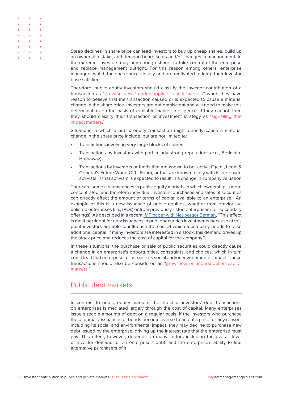| $\bullet\qquad\bullet\qquad\bullet$     |  |
|-----------------------------------------|--|
| $\bullet$ $\bullet$ $\bullet$           |  |
| $\bullet$ $\bullet$ $\bullet$           |  |
| $\bullet$ $\bullet$ $\bullet$           |  |
| $\bullet \qquad \bullet \qquad \bullet$ |  |
| $\bullet$ $\bullet$ $\bullet$           |  |
| $\bullet\qquad\bullet\qquad\bullet$     |  |
| $\bullet$ $\bullet$ $\bullet$           |  |

Steep declines in share price can lead investors to buy up cheap shares, build up an ownership stake, and demand board seats and/or changes in management. In the extreme, investors may buy enough shares to take control of the enterprise and replace management outright. For this reason among others, enterprise managers watch the share price closely and are motivated to keep their investor base satisfied.

Therefore, public equity investors should classify the investor contribution of a transaction as "growing new / undersupplied capital markets" when they have reason to believe that the transaction caused or is expected to cause a material change in the share price. Investors are not omniscient and will need to make this determination on the basis of available market intelligence. If they cannot, then they should classify their transaction or investment strategy as "signalling that impact matters."

Situations in which a public equity transaction might directly cause a material change in the share price include, but are not limited to:

- Transactions involving very large blocks of shares
- Transactions by investors with particularly strong reputations (e.g., Berkshire Hathaway)
- Transactions by investors or funds that are known to be "activist" (e.g., Legal & General's Future World GIRL Fund), or that are known to ally with issue-based activists, if that activism is expected to result in a change in company valuation

There are some circumstances in public equity markets in which ownership is more concentrated, and therefore individual investors' purchases and sales of securities can directly affect the amount or terms of capital available to an enterprise. An example of this is a new issuance of public equities, whether from previouslyunlisted enterprises (i.e., IPOs) or from previously-listed enterprises (i.e., secondary offerings). As described in a recent [IMP paper with Neuberger Berman,](https://impactmanagementproject.com/investor/having-a-positive-impact-through-public-market-investments/) "This effect is most pertinent for new issuances in public securities investments because at this point investors are able to influence the cost at which a company needs to raise additional capital. If many investors are interested in a stock, this demand drives up the stock price and reduces the cost of capital for the company."

In these situations, the purchase or sale of public securities could directly cause a change in an enterprise's opportunities, constraints, and choices, which in turn could lead that enterprise to increase its social and/or environmental impact. These transactions should also be considered as "grow new or undersupplied capital markets."

### Public debt markets

In contrast to public equity markets, the effect of investors' debt transactions on enterprises is mediated largely through the cost of capital. Many enterprises issue sizeable amounts of debt on a regular basis. If the investors who purchase these primary issuances of bonds become averse to an enterprise for any reason, including its social and environmental impact, they may decline to purchase new debt issued by the enterprise, driving up the interest rate that the enterprise must pay. This effect, however, depends on many factors including the overall level of investor demand for an enterprise's debt, and the enterprise's ability to find alternative purchasers of it.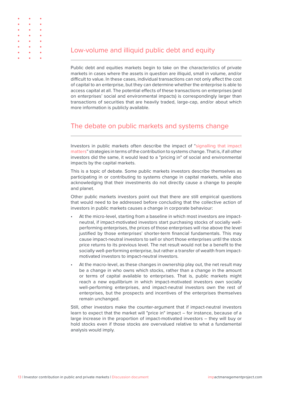

Public debt and equities markets begin to take on the characteristics of private markets in cases where the assets in question are illiquid, small in volume, and/or difficult to value. In these cases, individual transactions can not only affect the cost of capital to an enterprise, but they can determine whether the enterprise is able to access capital at all. The potential effects of these transactions on enterprises (and on enterprises' social and environmental impacts) is correspondingly larger than transactions of securities that are heavily traded, large-cap, and/or about which more information is publicly available.

### The debate on public markets and systems change

Investors in public markets often describe the impact of "signalling that impact matters" strategies in terms of the contribution to systems change. That is, if all other investors did the same, it would lead to a "pricing in" of social and environmental impacts by the capital markets.

This is a topic of debate. Some public markets investors describe themselves as participating in or contributing to systems change in capital markets, while also acknowledging that their investments do not directly cause a change to people and planet.

Other public markets investors point out that there are still empirical questions that would need to be addressed before concluding that the collective action of investors in public markets causes a change in corporate behaviour:

- At the micro-level, starting from a baseline in which most investors are impactneutral, if impact-motivated investors start purchasing stocks of socially wellperforming enterprises, the prices of those enterprises will rise above the level justified by those enterprises' shorter-term financial fundamentals. This may cause impact-neutral investors to sell or short those enterprises until the stock price returns to its previous level. The net result would not be a benefit to the socially well-performing enterprise, but rather a transfer of wealth from impactmotivated investors to impact-neutral investors.
- At the macro-level, as these changes in ownership play out, the net result may be a change in who owns which stocks, rather than a change in the amount or terms of capital available to enterprises. That is, public markets might reach a new equilibrium in which impact-motivated investors own socially well-performing enterprises, and impact-neutral investors own the rest of enterprises, but the prospects and incentives of the enterprises themselves remain unchanged.

Still, other investors make the counter-argument that if impact-neutral investors learn to expect that the market will "price in" impact – for instance, because of a large increase in the proportion of impact-motivated investors – they will buy or hold stocks even if those stocks are overvalued relative to what a fundamental analysis would imply.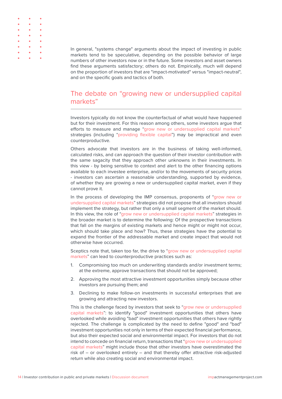

In general, "systems change" arguments about the impact of investing in public markets tend to be speculative, depending on the possible behavior of large numbers of other investors now or in the future. Some investors and asset owners find these arguments satisfactory; others do not. Empirically, much will depend on the proportion of investors that are "impact-motivated" versus "impact-neutral", and on the specific goals and tactics of both.

### The debate on "growing new or undersupplied capital markets"

Investors typically do not know the counterfactual of what would have happened but for their investment. For this reason among others, some investors argue that efforts to measure and manage "grow new or undersupplied capital markets" strategies (including "providing flexible capital") may be impractical and even counterproductive.

Others advocate that investors are in the business of taking well-informed, calculated risks, and can approach the question of their investor contribution with the same sagacity that they approach other unknowns in their investments. In this view - by being sensitive to context and alert to the other financing options available to each investee enterprise, and/or to the movements of security prices - investors can ascertain a reasonable understanding, supported by evidence, of whether they are growing a new or undersupplied capital market, even if they cannot prove it.

In the process of developing the IMP consensus, proponents of "grow new or undersupplied capital markets" strategies did not propose that all investors should implement the strategy, but rather that only a small segment of the market should. In this view, the role of "grow new or undersupplied capital markets" strategies in the broader market is to determine the following: Of the prospective transactions that fall on the margins of existing markets and hence might or might not occur, which should take place and how? Thus, these strategies have the potential to expand the frontier of the addressable market and create impact that would not otherwise have occurred.

Sceptics note that, taken too far, the drive to "grow new or undersupplied capital markets" can lead to counterproductive practices such as:

- 1. Compromising too much on underwriting standards and/or investment terms; at the extreme, approve transactions that should not be approved;
- 2. Approving the most attractive investment opportunities simply because other investors are pursuing them; and
- 3. Declining to make follow-on investments in successful enterprises that are growing and attracting new investors.

This is the challenge faced by investors that seek to "grow new or undersupplied capital markets": to identify "good" investment opportunities that others have overlooked while avoiding "bad" investment opportunities that others have rightly rejected. The challenge is complicated by the need to define "good" and "bad" investment opportunities not only in terms of their expected financial performance, but also their expected social and environmental impact. For investors that do not intend to concede on financial return, transactions that "grow new or undersupplied capital markets" might include those that other investors have overestimated the risk of – or overlooked entirely – and that thereby offer attractive risk-adjusted return while also creating social and environmental impact.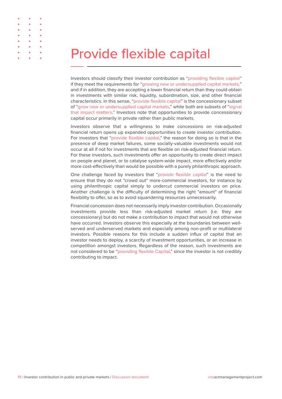## Provide flexible capital

Investors should classify their investor contribution as "providing flexible capital" if they meet the requirements for "growing new or undersupplied capital markets," and if in addition, they are accepting a lower financial return than they could obtain in investments with similar risk, liquidity, subordination, size, and other financial characteristics. In this sense, "provide flexible capital" is the concessionary subset of "grow new or undersupplied capital markets," while both are subsets of "signal that impact matters." Investors note that opportunities to provide concessionary capital occur primarily in private rather than public markets.

Investors observe that a willingness to make concessions on risk-adjusted financial return opens up expanded opportunities to create investor contribution. For investors that "provide flexible capital," the reason for doing so is that in the presence of deep market failures, some socially-valuable investments would not occur at all if not for investments that are flexible on risk-adjusted financial return. For these investors, such investments offer an opportunity to create direct impact on people and planet, or to catalyse system-wide impact, more effectively and/or more cost-effectively than would be possible with a purely philanthropic approach.

One challenge faced by investors that "provide flexible capital" is the need to ensure that they do not "crowd out" more-commercial investors, for instance by using philanthropic capital simply to undercut commercial investors on price. Another challenge is the difficulty of determining the right "amount" of financial flexibility to offer, so as to avoid squandering resources unnecessarily.

Financial concession does not necessarily imply investor contribution. Occasionally investments provide less than risk-adjusted market return (i.e. they are concessionary) but do not make a contribution to impact that would not otherwise have occurred. Investors observe this especially at the boundaries between wellserved and underserved markets and especially among non-profit or multilateral investors. Possible reasons for this include a sudden influx of capital that an investor needs to deploy, a scarcity of investment opportunities, or an increase in competition amongst investors. Regardless of the reason, such investments are not considered to be "providing flexible Capital," since the investor is not credibly contributing to impact.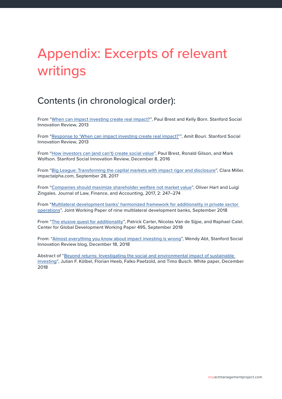## Appendix: Excerpts of relevant writings

## Contents (in chronological order):

From "[When can impact investing create real impact?"](https://ssir.org/up_for_debate/article/impact_investing), Paul Brest and Kelly Born. Stanford Social Innovation Review, 2013

From "[Response to 'When can impact investing create real impact?'](https://ssir.org/up_for_debate/impact_investing/amit_bouri)", Amit Bouri. Stanford Social Innovation Review, 2013

From "[How investors can \(and can't\) create social value"](https://ssir.org/up_for_debate/article/how_investors_can_and_cant_create_social_value), Paul Brest, Ronald Gilson, and Mark Wolfson. Stanford Social Innovation Review, December 8, 2016

From "[Big League: Transforming the capital markets with impact rigor and disclosure](https://impactalpha.com/big-league-transforming-the-capital-markets-with-impact-rigor-and-disclosure-750b6537d6f2/)", Clara Miller. impactalpha.com, September 28, 2017

From "[Companies should maximize shareholder welfare not market value"](https://scholar.harvard.edu/files/hart/files/108.00000022-hart-vol2no2-jlfa-0022_002.pdf), Oliver Hart and Luigi Zingales. Journal of Law, Finance, and Accounting, 2017, 2: 247–274

From "[Multilateral development banks' harmonized framework for additionality in private sector](https://www.ifc.org/wps/wcm/connect/topics_ext_content/ifc_external_corporate_site/development+impact/resources/201809-mdbs-additionality-framework)  [operations](https://www.ifc.org/wps/wcm/connect/topics_ext_content/ifc_external_corporate_site/development+impact/resources/201809-mdbs-additionality-framework)", Joint Working Paper of nine multilateral development banks, September 2018

From "[The elusive quest for additionality](https://www.cgdev.org/publication/elusive-quest-for-additionality)", Patrick Carter, Nicolas Van de Sijpe, and Raphael Calel. Center for Global Development Working Paper 495, September 2018

From: ["Almost everything you know about impact investing is wrong](https://ssir.org/articles/entry/almost_everything_you_know_about_impact_investing_is_wrong)", Wendy Abt, Stanford Social Innovation Review blog, December 18, 2018

Abstract of ["Beyond returns: Investigating the social and environmental impact of sustainable](https://papers.ssrn.com/sol3/papers.cfm?abstract_id=3289544)  [investing"](https://papers.ssrn.com/sol3/papers.cfm?abstract_id=3289544), Julian F. Kölbel, Florian Heeb, Falko Paetzold, and Timo Busch. White paper, December 2018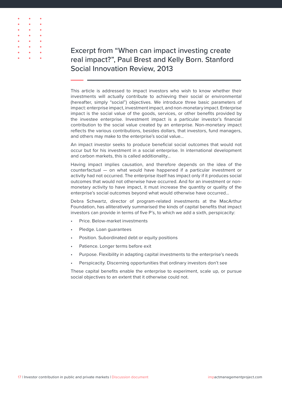

## Excerpt from "When can impact investing create real impact?", Paul Brest and Kelly Born. Stanford Social Innovation Review, 2013

This article is addressed to impact investors who wish to know whether their investments will actually contribute to achieving their social or environmental (hereafter, simply "social") objectives. We introduce three basic parameters of impact: enterprise impact, investment impact, and non-monetary impact. Enterprise impact is the social value of the goods, services, or other benefits provided by the investee enterprise. Investment impact is a particular investor's financial contribution to the social value created by an enterprise. Non-monetary impact reflects the various contributions, besides dollars, that investors, fund managers, and others may make to the enterprise's social value…

An impact investor seeks to produce beneficial social outcomes that would not occur but for his investment in a social enterprise. In international development and carbon markets, this is called additionality…

Having impact implies causation, and therefore depends on the idea of the counterfactual — on what would have happened if a particular investment or activity had not occurred. The enterprise itself has impact only if it produces social outcomes that would not otherwise have occurred. And for an investment or nonmonetary activity to have impact, it must increase the quantity or quality of the enterprise's social outcomes beyond what would otherwise have occurred…

Debra Schwartz, director of program-related investments at the MacArthur Foundation, has alliteratively summarised the kinds of capital benefits that impact investors can provide in terms of five P's, to which we add a sixth, perspicacity:

- Price. Below-market investments
- Pledge. Loan guarantees
- Position. Subordinated debt or equity positions
- Patience. Longer terms before exit
- Purpose. Flexibility in adapting capital investments to the enterprise's needs
- Perspicacity. Discerning opportunities that ordinary investors don't see

These capital benefits enable the enterprise to experiment, scale up, or pursue social objectives to an extent that it otherwise could not.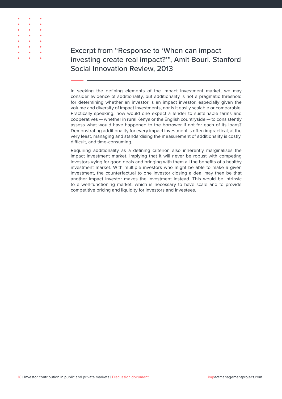

## Excerpt from "Response to 'When can impact investing create real impact?'", Amit Bouri. Stanford Social Innovation Review, 2013

In seeking the defining elements of the impact investment market, we may consider evidence of additionality, but additionality is not a pragmatic threshold for determining whether an investor is an impact investor, especially given the volume and diversity of impact investments, nor is it easily scalable or comparable. Practically speaking, how would one expect a lender to sustainable farms and cooperatives — whether in rural Kenya or the English countryside — to consistently assess what would have happened to the borrower if not for each of its loans? Demonstrating additionality for every impact investment is often impractical; at the very least, managing and standardising the measurement of additionality is costly, difficult, and time-consuming.

Requiring additionality as a defining criterion also inherently marginalises the impact investment market, implying that it will never be robust with competing investors vying for good deals and bringing with them all the benefits of a healthy investment market. With multiple investors who might be able to make a given investment, the counterfactual to one investor closing a deal may then be that another impact investor makes the investment instead. This would be intrinsic to a well-functioning market, which is necessary to have scale and to provide competitive pricing and liquidity for investors and investees.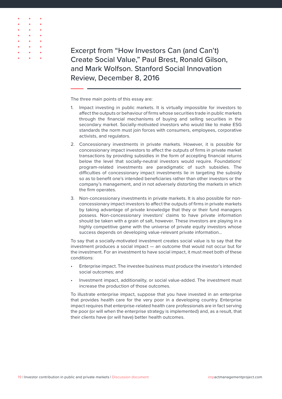

Excerpt from "How Investors Can (and Can't) Create Social Value," Paul Brest, Ronald Gilson, and Mark Wolfson. Stanford Social Innovation Review, December 8, 2016

The three main points of this essay are:

- 1. Impact investing in public markets. It is virtually impossible for investors to affect the outputs or behaviour of firms whose securities trade in public markets through the financial mechanisms of buying and selling securities in the secondary market. Socially-motivated investors who would like to make ESG standards the norm must join forces with consumers, employees, corporative activists, and regulators.
- 2. Concessionary investments in private markets. However, it is possible for concessionary impact investors to affect the outputs of firms in private market transactions by providing subsidies in the form of accepting financial returns below the level that socially-neutral investors would require. Foundations' program-related investments are paradigmatic of such subsidies. The difficulties of concessionary impact investments lie in targeting the subsidy so as to benefit one's intended beneficiaries rather than other investors or the company's management, and in not adversely distorting the markets in which the firm operates.
- 3. Non-concessionary investments in private markets. It is also possible for nonconcessionary impact investors to affect the outputs of firms in private markets by taking advantage of private knowledge that they or their fund managers possess. Non-concessionary investors' claims to have private information should be taken with a grain of salt, however. These investors are playing in a highly competitive game with the universe of private equity investors whose success depends on developing value-relevant private information…

To say that a socially-motivated investment creates social value is to say that the investment produces a social impact — an outcome that would not occur but for the investment. For an investment to have social impact, it must meet both of these conditions:

- Enterprise impact. The investee business must produce the investor's intended social outcomes; and
- Investment impact, additionality, or social value-added. The investment must increase the production of those outcomes.

To illustrate enterprise impact, suppose that you have invested in an enterprise that provides health care for the very poor in a developing country. Enterprise impact requires that enterprise-related health care professionals are in fact serving the poor (or will when the enterprise strategy is implemented) and, as a result, that their clients have (or will have) better health outcomes.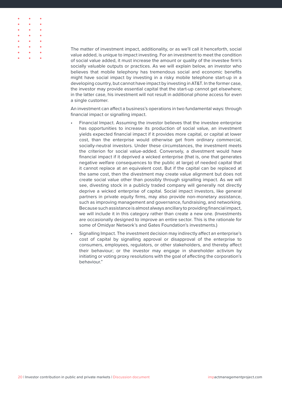The matter of investment impact, additionality, or as we'll call it henceforth, social value added, is unique to impact investing. For an investment to meet the condition of social value added, it must increase the amount or quality of the investee firm's socially valuable outputs or practices. As we will explain below, an investor who believes that mobile telephony has tremendous social and economic benefits might have social impact by investing in a risky mobile telephone start-up in a developing country, but cannot have impact by investing in AT&T. In the former case, the investor may provide essential capital that the start-up cannot get elsewhere; in the latter case, his investment will not result in additional phone access for even a single customer.

An investment can affect a business's operations in two fundamental ways: through financial impact or signalling impact.

- Financial Impact. Assuming the investor believes that the investee enterprise has opportunities to increase its production of social value, an investment yields expected financial impact if it provides more capital, or capital at lower cost, than the enterprise would otherwise get from ordinary commercial, socially-neutral investors. Under these circumstances, the investment meets the criterion for social value-added. Conversely, a divestment would have financial impact if it deprived a wicked enterprise (that is, one that generates negative welfare consequences to the public at large) of needed capital that it cannot replace at an equivalent cost. But if the capital can be replaced at the same cost, then the divestment may create value alignment but does not create social value other than possibly through signalling impact. As we will see, divesting stock in a publicly traded company will generally not directly deprive a wicked enterprise of capital. Social impact investors, like general partners in private equity firms, may also provide non-monetary assistance, such as improving management and governance, fundraising, and networking. Because such assistance is almost always ancillary to providing financial impact, we will include it in this category rather than create a new one. (Investments are occasionally designed to improve an entire sector. This is the rationale for some of Omidyar Network's and Gates Foundation's investments.)
- Signalling Impact. The investment decision may indirectly affect an enterprise's cost of capital by signalling approval or disapproval of the enterprise to consumers, employees, regulators, or other stakeholders, and thereby affect their behaviour; or the investor may engage in shareholder activism by initiating or voting proxy resolutions with the goal of affecting the corporation's behaviour."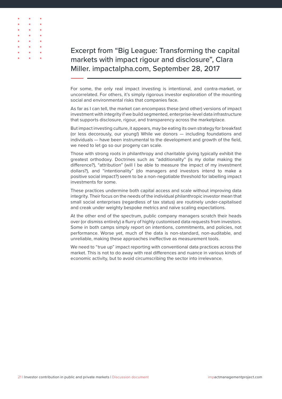

Excerpt from "Big League: Transforming the capital markets with impact rigour and disclosure", Clara Miller. impactalpha.com, September 28, 2017

For some, the only real impact investing is intentional, and contra-market, or uncorrelated. For others, it's simply rigorous investor exploration of the mounting social and environmental risks that companies face.

As far as I can tell, the market can encompass these (and other) versions of impact investment with integrity if we build segmented, enterprise-level data infrastructure that supports disclosure, rigour, and transparency across the marketplace.

But impact investing culture, it appears, may be eating its own strategy for breakfast (or less decorously, our young!) While we donors — including foundations and individuals — have been instrumental to the development and growth of the field, we need to let go so our progeny can scale.

Those with strong roots in philanthropy and charitable giving typically exhibit the greatest orthodoxy. Doctrines such as "additionality" (is my dollar making the difference?), "attribution" (will I be able to measure the impact of my investment dollars?), and "intentionality" (do managers and investors intend to make a positive social impact?) seem to be a non-negotiable threshold for labelling impact investments for some.

These practices undermine both capital access and scale without improving data integrity. Their focus on the needs of the individual philanthropic investor mean that small social enterprises (regardless of tax status) are routinely under-capitalised and creak under weighty bespoke metrics and naïve scaling expectations.

At the other end of the spectrum, public company managers scratch their heads over (or dismiss entirely) a flurry of highly customised data requests from investors. Some in both camps simply report on intentions, commitments, and policies, not performance. Worse yet, much of the data is non-standard, non-auditable, and unreliable, making these approaches ineffective as measurement tools.

We need to "true up" impact reporting with conventional data practices across the market. This is not to do away with real differences and nuance in various kinds of economic activity, but to avoid circumscribing the sector into irrelevance.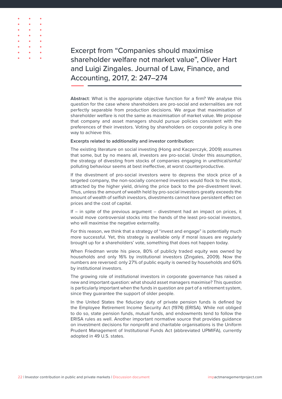Excerpt from "Companies should maximise shareholder welfare not market value", Oliver Hart and Luigi Zingales. Journal of Law, Finance, and Accounting, 2017, 2: 247–274

**Abstract**: What is the appropriate objective function for a firm? We analyse this question for the case where shareholders are pro-social and externalities are not perfectly separable from production decisions. We argue that maximisation of shareholder welfare is not the same as maximisation of market value. We propose that company and asset managers should pursue policies consistent with the preferences of their investors. Voting by shareholders on corporate policy is one way to achieve this.

#### **Excerpts related to additionality and investor contribution:**

The existing literature on social investing (Hong and Kacperczyk, 2009) assumes that some, but by no means all, investors are pro-social. Under this assumption, the strategy of divesting from stocks of companies engaging in unethical/sinful/ polluting behaviour seems at best ineffective, at worst counterproductive.

If the divestment of pro-social investors were to depress the stock price of a targeted company, the non-socially concerned investors would flock to the stock, attracted by the higher yield, driving the price back to the pre-divestment level. Thus, unless the amount of wealth held by pro-social investors greatly exceeds the amount of wealth of selfish investors, divestments cannot have persistent effect on prices and the cost of capital.

If  $-$  in spite of the previous argument  $-$  divestment had an impact on prices, it would move controversial stocks into the hands of the least pro-social investors, who will maximise the negative externality.

For this reason, we think that a strategy of "invest and engage" is potentially much more successful. Yet, this strategy is available only if moral issues are regularly brought up for a shareholders' vote, something that does not happen today.

When Friedman wrote his piece, 80% of publicly traded equity was owned by households and only 16% by institutional investors (Zingales, 2009). Now the numbers are reversed: only 27% of public equity is owned by households and 60% by institutional investors.

The growing role of institutional investors in corporate governance has raised a new and important question: what should asset managers maximise? This question is particularly important when the funds in question are part of a retirement system, since they guarantee the support of older people.

In the United States the fiduciary duty of private pension funds is defined by the Employee Retirement Income Security Act (1974) (ERISA). While not obliged to do so, state pension funds, mutual funds, and endowments tend to follow the ERISA rules as well. Another important normative source that provides guidance on investment decisions for nonprofit and charitable organisations is the Uniform Prudent Management of Institutional Funds Act (abbreviated UPMIFA), currently adopted in 49 U.S. states.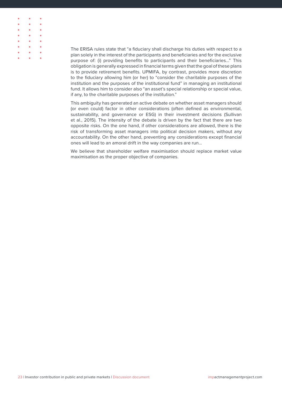|           | $\bullet$ $\bullet$ $\bullet$ |   |
|-----------|-------------------------------|---|
|           | $\bullet$ $\bullet$ $\bullet$ | ٠ |
|           | $\sim$ $\sim$                 | ٠ |
| $\bullet$ | $\bullet$                     | ٠ |
| $\bullet$ | $\bullet$                     | ٠ |
| $\bullet$ | ۰                             | ٠ |
| $\bullet$ | $\bullet$                     | ٠ |
|           |                               |   |

The ERISA rules state that "a fiduciary shall discharge his duties with respect to a plan solely in the interest of the participants and beneficiaries and for the exclusive purpose of: (i) providing benefits to participants and their beneficiaries…" This obligation is generally expressed in financial terms given that the goal of these plans is to provide retirement benefits. UPMIFA, by contrast, provides more discretion to the fiduciary allowing him (or her) to "consider the charitable purposes of the institution and the purposes of the institutional fund" in managing an institutional fund. It allows him to consider also "an asset's special relationship or special value, if any, to the charitable purposes of the institution."

This ambiguity has generated an active debate on whether asset managers should (or even could) factor in other considerations (often defined as environmental, sustainability, and governance or ESG) in their investment decisions (Sullivan et al., 2015). The intensity of the debate is driven by the fact that there are two opposite risks. On the one hand, if other considerations are allowed, there is the risk of transforming asset managers into political decision makers, without any accountability. On the other hand, preventing any considerations except financial ones will lead to an amoral drift in the way companies are run…

We believe that shareholder welfare maximisation should replace market value maximisation as the proper objective of companies.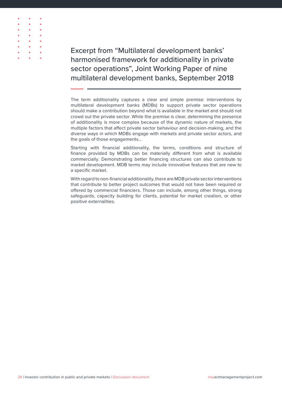

Excerpt from "Multilateral development banks' harmonised framework for additionality in private sector operations", Joint Working Paper of nine multilateral development banks, September 2018

The term additionality captures a clear and simple premise: interventions by multilateral development banks (MDBs) to support private sector operations should make a contribution beyond what is available in the market and should not crowd out the private sector. While the premise is clear, determining the presence of additionality is more complex because of the dynamic nature of markets, the multiple factors that affect private sector behaviour and decision-making, and the diverse ways in which MDBs engage with markets and private sector actors, and the goals of those engagements…

Starting with financial additionality, the terms, conditions and structure of finance provided by MDBs can be materially different from what is available commercially. Demonstrating better financing structures can also contribute to market development. MDB terms may include innovative features that are new to a specific market.

With regard to non-financial additionality, there are MDB private sector interventions that contribute to better project outcomes that would not have been required or offered by commercial financiers. Those can include, among other things, strong safeguards, capacity building for clients, potential for market creation, or other positive externalities.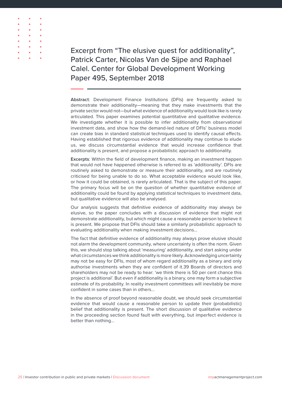

Excerpt from "The elusive quest for additionality", Patrick Carter, Nicolas Van de Sijpe and Raphael Calel. Center for Global Development Working Paper 495, September 2018

**Abstract**: Development Finance Institutions (DFIs) are frequently asked to demonstrate their additionality—meaning that they make investments that the private sector would not—but what evidence of additionality would look like is rarely articulated. This paper examines potential quantitative and qualitative evidence. We investigate whether it is possible to infer additionality from observational investment data, and show how the demand-led nature of DFIs' business model can create bias in standard statistical techniques used to identify causal effects. Having established that rigorous evidence of additionality may continue to elude us, we discuss circumstantial evidence that would increase confidence that additionality is present, and propose a probabilistic approach to additionality.

**Excerpts**: Within the field of development finance, making an investment happen that would not have happened otherwise is referred to as 'additionality'. DFIs are routinely asked to demonstrate or measure their additionality, and are routinely criticised for being unable to do so. What acceptable evidence would look like, or how it could be obtained, is rarely articulated. That is the subject of this paper. The primary focus will be on the question of whether quantitative evidence of additionality could be found by applying statistical techniques to investment data, but qualitative evidence will also be analysed.

Our analysis suggests that definitive evidence of additionality may always be elusive, so the paper concludes with a discussion of evidence that might not demonstrate additionality, but which might cause a reasonable person to believe it is present. We propose that DFIs should take a similarly probabilistic approach to evaluating additionality when making investment decisions…

The fact that definitive evidence of additionality may always prove elusive should not alarm the development community, where uncertainty is often the norm. Given this, we should stop talking about 'measuring' additionality, and start asking under what circumstances we think additionality is more likely. Acknowledging uncertainty may not be easy for DFIs, most of whom regard additionality as a binary and only authorise investments when they are confident of it.39 Boards of directors and shareholders may not be ready to hear: 'we think there is 50 per cent chance this project is additional'. But even if additionality is a binary, one may form a subjective estimate of its probability. In reality investment committees will inevitably be more confident in some cases than in others...

In the absence of proof beyond reasonable doubt, we should seek circumstantial evidence that would cause a reasonable person to update their (probabilistic) belief that additionality is present. The short discussion of qualitative evidence in the proceeding section found fault with everything, but imperfect evidence is better than nothing…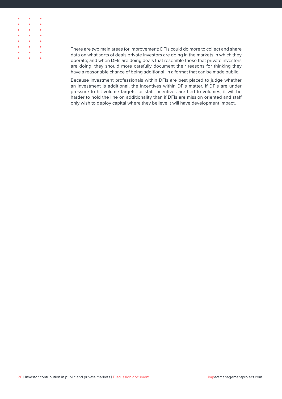

There are two main areas for improvement: DFIs could do more to collect and share data on what sorts of deals private investors are doing in the markets in which they operate; and when DFIs are doing deals that resemble those that private investors are doing, they should more carefully document their reasons for thinking they have a reasonable chance of being additional, in a format that can be made public…

Because investment professionals within DFIs are best placed to judge whether an investment is additional, the incentives within DFIs matter. If DFIs are under pressure to hit volume targets, or staff incentives are tied to volumes, it will be harder to hold the line on additionality than if DFIs are mission oriented and staff only wish to deploy capital where they believe it will have development impact.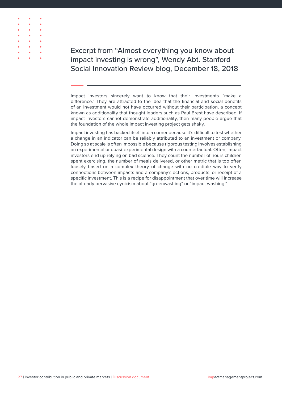

Excerpt from "Almost everything you know about impact investing is wrong", Wendy Abt. Stanford Social Innovation Review blog, December 18, 2018

Impact investors sincerely want to know that their investments "make a difference." They are attracted to the idea that the financial and social benefits of an investment would not have occurred without their participation, a concept known as additionality that thought leaders such as Paul Brest have described. If impact investors cannot demonstrate additionality, then many people argue that the foundation of the whole impact investing project gets shaky.

Impact investing has backed itself into a corner because it's difficult to test whether a change in an indicator can be reliably attributed to an investment or company. Doing so at scale is often impossible because rigorous testing involves establishing an experimental or quasi-experimental design with a counterfactual. Often, impact investors end up relying on bad science. They count the number of hours children spent exercising, the number of meals delivered, or other metric that is too often loosely based on a complex theory of change with no credible way to verify connections between impacts and a company's actions, products, or receipt of a specific investment. This is a recipe for disappointment that over time will increase the already pervasive cynicism about "greenwashing" or "impact washing."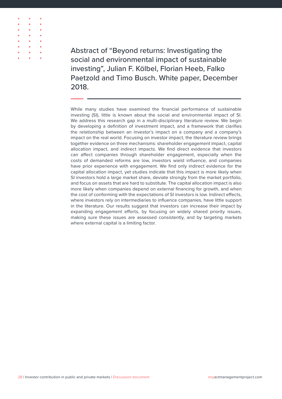

Abstract of "Beyond returns: Investigating the social and environmental impact of sustainable investing", Julian F. Kölbel, Florian Heeb, Falko Paetzold and Timo Busch. White paper, December 2018.

While many studies have examined the financial performance of sustainable investing (SI), little is known about the social and environmental impact of SI. We address this research gap in a multi-disciplinary literature review. We begin by developing a definition of investment impact, and a framework that clarifies the relationship between an investor's impact on a company and a company's impact on the real world. Focusing on investor impact, the literature review brings together evidence on three mechanisms: shareholder engagement impact, capital allocation impact, and indirect impacts. We find direct evidence that investors can affect companies through shareholder engagement, especially when the costs of demanded reforms are low, investors wield influence, and companies have prior experience with engagement. We find only indirect evidence for the capital allocation impact, yet studies indicate that this impact is more likely when SI investors hold a large market share, deviate strongly from the market portfolio, and focus on assets that are hard to substitute. The capital allocation impact is also more likely when companies depend on external financing for growth, and when the cost of conforming with the expectations of SI investors is low. Indirect effects, where investors rely on intermediaries to influence companies, have little support in the literature. Our results suggest that investors can increase their impact by expanding engagement efforts, by focusing on widely shared priority issues, making sure these issues are assessed consistently, and by targeting markets where external capital is a limiting factor.